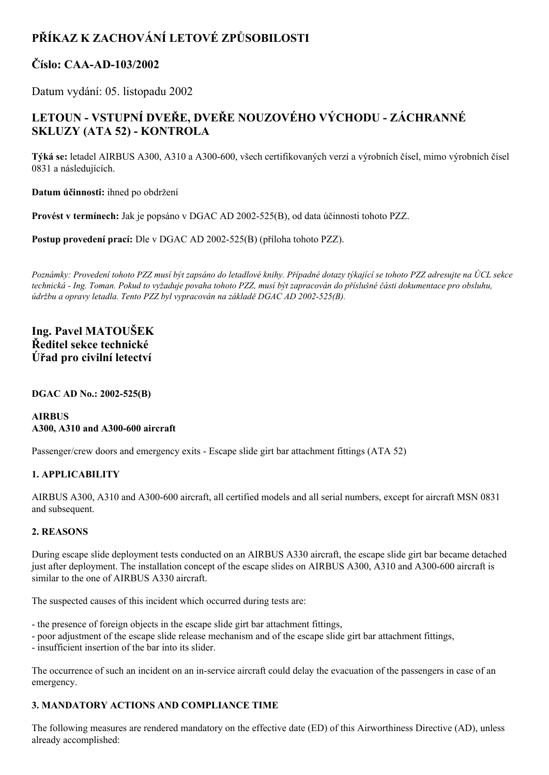# **PŘÍKAZ K ZACHOVÁNÍ LETOVÉ ZPŮSOBILOSTI**

## **Číslo: CAAAD103/2002**

Datum vydání: 05. listopadu 2002

## **LETOUN VSTUPNÍ DVEŘE, DVEŘE NOUZOVÉHO VÝCHODU ZÁCHRANNÉ SKLUZY (ATA 52) KONTROLA**

**Týká se:** letadel AIRBUS A300, A310 a A300-600, všech certifikovaných verzí a výrobních čísel, mimo výrobních čísel 0831 a následujících.

**Datum účinnosti:** ihned po obdržení

**Provést v termínech:** Jak je popsáno v DGAC AD 2002525(B), od data účinnosti tohoto PZZ.

**Postup provedení prací:** Dle v DGAC AD 2002-525(B) (příloha tohoto PZZ).

Poznámky: Provedení tohoto PZZ musí být zapsáno do letadlové knihy. Případné dotazy týkající se tohoto PZZ adresujte na ÚCL sekce technická - Ing. Toman. Pokud to vyžaduje povaha tohoto PZZ, musí být zapracován do příslušné části dokumentace pro obsluhu, *údržbu a opravy letadla. Tento PZZ byl vypracován na základě DGAC AD 2002525(B).*

### **Ing. Pavel MATOUŠEK Ředitel sekce technické Úřad pro civilní letectví**

**DGAC AD No.:** 2002-525(B)

#### **AIRBUS A300, A310 and A300600 aircraft**

Passenger/crew doors and emergency exits - Escape slide girt bar attachment fittings (ATA 52)

#### **1. APPLICABILITY**

AIRBUS A300, A310 and A300-600 aircraft, all certified models and all serial numbers, except for aircraft MSN 0831 and subsequent.

#### **2. REASONS**

During escape slide deployment tests conducted on an AIRBUS A330 aircraft, the escape slide girt bar became detached just after deployment. The installation concept of the escape slides on AIRBUS A300, A310 and A300-600 aircraft is similar to the one of AIRBUS A330 aircraft.

The suspected causes of this incident which occurred during tests are:

- the presence of foreign objects in the escape slide girt bar attachment fittings,
- poor adjustment of the escape slide release mechanism and of the escape slide girt bar attachment fittings,
- insufficient insertion of the bar into its slider.

The occurrence of such an incident on an in-service aircraft could delay the evacuation of the passengers in case of an emergency.

### **3. MANDATORY ACTIONS AND COMPLIANCE TIME**

The following measures are rendered mandatory on the effective date (ED) of this Airworthiness Directive (AD), unless already accomplished: